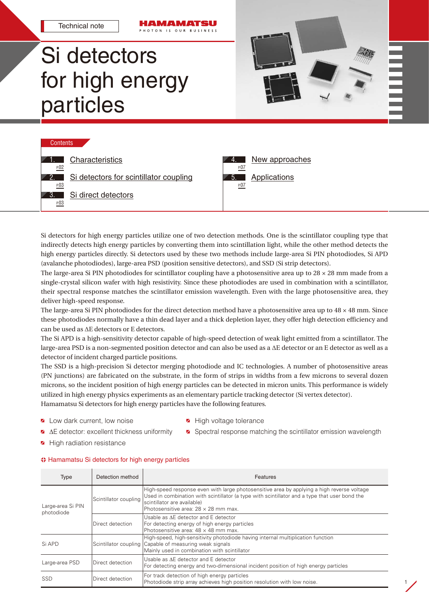Technical note

# Si detectors for high energy particles







Si detectors for high energy particles utilize one of two detection methods. One is the scintillator coupling type that indirectly detects high energy particles by converting them into scintillation light, while the other method detects the high energy particles directly. Si detectors used by these two methods include large-area Si PIN photodiodes, Si APD (avalanche photodiodes), large-area PSD (position sensitive detectors), and SSD (Si strip detectors).

The large-area Si PIN photodiodes for scintillator coupling have a photosensitive area up to  $28 \times 28$  mm made from a single-crystal silicon wafer with high resistivity. Since these photodiodes are used in combination with a scintillator, their spectral response matches the scintillator emission wavelength. Even with the large photosensitive area, they deliver high-speed response.

The large-area Si PIN photodiodes for the direct detection method have a photosensitive area up to 48 × 48 mm. Since these photodiodes normally have a thin dead layer and a thick depletion layer, they offer high detection efficiency and can be used as ΔE detectors or E detectors.

The Si APD is a high-sensitivity detector capable of high-speed detection of weak light emitted from a scintillator. The large-area PSD is a non-segmented position detector and can also be used as a ΔE detector or an E detector as well as a detector of incident charged particle positions.

The SSD is a high-precision Si detector merging photodiode and IC technologies. A number of photosensitive areas (PN junctions) are fabricated on the substrate, in the form of strips in widths from a few microns to several dozen microns, so the incident position of high energy particles can be detected in micron units. This performance is widely utilized in high energy physics experiments as an elementary particle tracking detector (Si vertex detector). Hamamatsu Si detectors for high energy particles have the following features.

- **4** Low dark current, low noise **High voltage tolerance**
- 
- ∆E detector: excellent thickness uniformity Spectral response matching the scintillator emission wavelength
- 

1

High radiation resistance

| ↔ Hamamatsu Si detectors for high energy particles |  |  |  |
|----------------------------------------------------|--|--|--|
|                                                    |  |  |  |

| Type                            | Detection method      | Features                                                                                                                                                                                                                                                                  |  |
|---------------------------------|-----------------------|---------------------------------------------------------------------------------------------------------------------------------------------------------------------------------------------------------------------------------------------------------------------------|--|
| Large-area Si PIN<br>photodiode | Scintillator coupling | High-speed response even with large photosensitive area by applying a high reverse voltage<br>Used in combination with scintillator (a type with scintillator and a type that user bond the<br>scintillator are available)<br>Photosensitive area: $28 \times 28$ mm max. |  |
|                                 | Direct detection      | Usable as AE detector and E detector<br>For detecting energy of high energy particles<br>Photosensitive area: 48 x 48 mm max.                                                                                                                                             |  |
| Si APD                          |                       | High-speed, high-sensitivity photodiode having internal multiplication function<br>Scintillator coupling Capable of measuring weak signals<br>Mainly used in combination with scintillator                                                                                |  |
| Large-area PSD                  | Direct detection      | Usable as AE detector and E detector<br>For detecting energy and two-dimensional incident position of high energy particles                                                                                                                                               |  |
| SSD                             | Direct detection      | For track detection of high energy particles<br>Photodiode strip array achieves high position resolution with low noise.                                                                                                                                                  |  |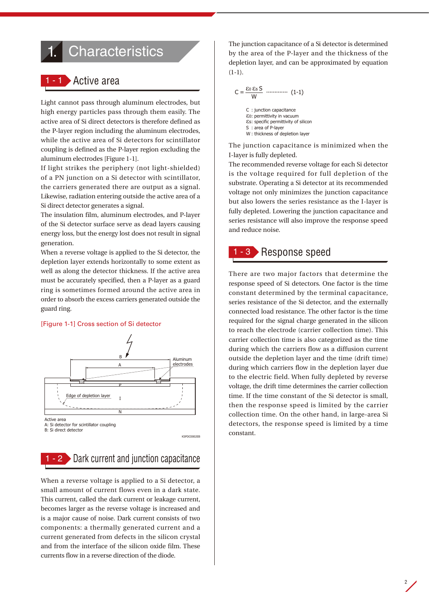## <span id="page-1-0"></span>**Characteristics**

## · Active area

Light cannot pass through aluminum electrodes, but high energy particles pass through them easily. The active area of Si direct detectors is therefore defined as the P-layer region including the aluminum electrodes, while the active area of Si detectors for scintillator coupling is defined as the P-layer region excluding the aluminum electrodes [Figure 1-1].

If light strikes the periphery (not light-shielded) of a PN junction on a Si detector with scintillator, the carriers generated there are output as a signal. Likewise, radiation entering outside the active area of a Si direct detector generates a signal.

The insulation film, aluminum electrodes, and P-layer of the Si detector surface serve as dead layers causing energy loss, but the energy lost does not result in signal generation.

When a reverse voltage is applied to the Si detector, the depletion layer extends horizontally to some extent as well as along the detector thickness. If the active area must be accurately specified, then a P-layer as a guard ring is sometimes formed around the active area in order to absorb the excess carriers generated outside the guard ring.

#### [Figure 1-1] Cross section of Si detector



B: Si direct detector

1 - 2 Dark current and junction capacitance

KSPDC0002EB

When a reverse voltage is applied to a Si detector, a small amount of current flows even in a dark state. This current, called the dark current or leakage current, becomes larger as the reverse voltage is increased and is a major cause of noise. Dark current consists of two components: a thermally generated current and a current generated from defects in the silicon crystal and from the interface of the silicon oxide film. These currents flow in a reverse direction of the diode.

The junction capacitance of a Si detector is determined by the area of the P-layer and the thickness of the depletion layer, and can be approximated by equation  $(1-1).$ 

$$
C = \frac{\varepsilon_0 \, \varepsilon_s \, S}{W} \, \dots \, (1-1)
$$

C : junction capacitance ε0: permittivity in vacuum εs: specific permittivity of silicon S : area of P-layer W : thickness of depletion layer

The junction capacitance is minimized when the I-layer is fully depleted.

The recommended reverse voltage for each Si detector is the voltage required for full depletion of the substrate. Operating a Si detector at its recommended voltage not only minimizes the junction capacitance but also lowers the series resistance as the I-layer is fully depleted. Lowering the junction capacitance and series resistance will also improve the response speed and reduce noise.

### 1 - 3 Response speed

There are two major factors that determine the response speed of Si detectors. One factor is the time constant determined by the terminal capacitance, series resistance of the Si detector, and the externally connected load resistance. The other factor is the time required for the signal charge generated in the silicon to reach the electrode (carrier collection time). This carrier collection time is also categorized as the time during which the carriers flow as a diffusion current outside the depletion layer and the time (drift time) during which carriers flow in the depletion layer due to the electric field. When fully depleted by reverse voltage, the drift time determines the carrier collection time. If the time constant of the Si detector is small, then the response speed is limited by the carrier collection time. On the other hand, in large-area Si detectors, the response speed is limited by a time constant.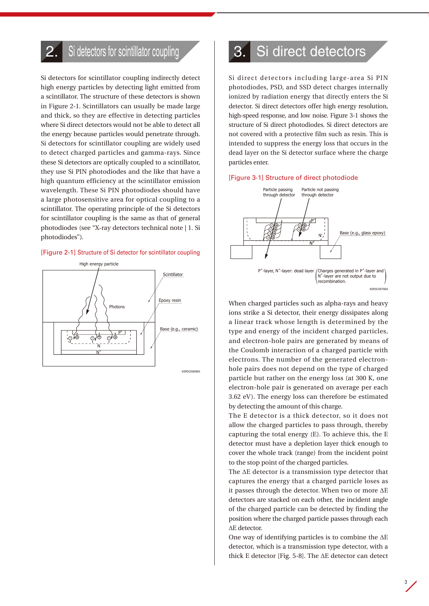## <span id="page-2-0"></span>Si detectors for scintillator coupling

Si detectors for scintillator coupling indirectly detect high energy particles by detecting light emitted from a scintillator. The structure of these detectors is shown in Figure 2-1. Scintillators can usually be made large and thick, so they are effective in detecting particles where Si direct detectors would not be able to detect all the energy because particles would penetrate through. Si detectors for scintillator coupling are widely used to detect charged particles and gamma-rays. Since these Si detectors are optically coupled to a scintillator, they use Si PIN photodiodes and the like that have a high quantum efficiency at the scintillator emission wavelength. These Si PIN photodiodes should have a large photosensitive area for optical coupling to a scintillator. The operating principle of the Si detectors for scintillator coupling is the same as that of general photodiodes (see "X-ray detectors technical note | 1. Si photodiodes").

#### [Figure 2-1] Structure of Si detector for scintillator coupling



## 3. Si direct detectors

Si direct detectors including large-area Si PIN photodiodes, PSD, and SSD detect charges internally  $\sim$  ionized by radiation energy that directly enters the Si detector. Si direct detectors offer high energy resolution, high-speed response, and low noise. Figure 3-1 shows the structure of Si direct photodiodes. Si direct detectors are not covered with a protective film such as resin. This is intended to suppress the energy loss that occurs in the dead layer on the Si detector surface where the charge particles enter.

#### [Figure 3-1] Structure of direct photodiode



hole pairs does not depend on the type of charged When charged particles such as alpha-rays and heavy ions strike a Si detector, their energy dissipates along a linear track whose length is determined by the type and energy of the incident charged particles, and electron-hole pairs are generated by means of the Coulomb interaction of a charged particle with electrons. The number of the generated electronparticle but rather on the energy loss (at 300 K, one electron-hole pair is generated on average per each 3.62 eV). The energy loss can therefore be estimated by detecting the amount of this charge.

The E detector is a thick detector, so it does not allow the charged particles to pass through, thereby capturing the total energy (E). To achieve this, the E detector must have a depletion layer thick enough to cover the whole track (range) from the incident point to the stop point of the charged particles.

The ΔE detector is a transmission type detector that captures the energy that a charged particle loses as it passes through the detector. When two or more ΔE detectors are stacked on each other, the incident angle of the charged particle can be detected by finding the position where the charged particle passes through each ΔE detector.

One way of identifying particles is to combine the ΔE detector, which is a transmission type detector, with a thick E detector [Fig. 5-8]. The ΔE detector can detect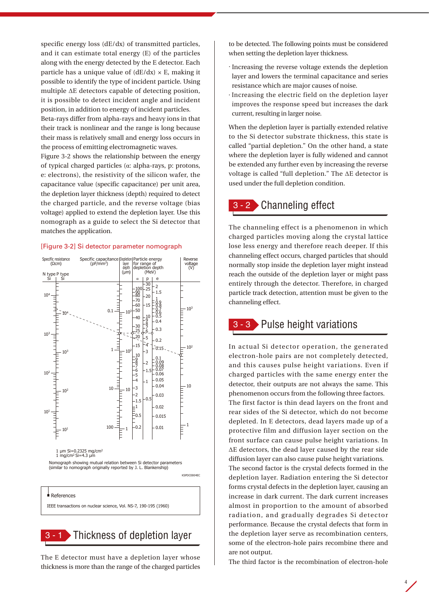specific energy loss (dE/dx) of transmitted particles, and it can estimate total energy (E) of the particles along with the energy detected by the E detector. Each particle has a unique value of  $(dE/dx) \times E$ , making it possible to identify the type of incident particle. Using multiple ΔE detectors capable of detecting position, it is possible to detect incident angle and incident position, in addition to energy of incident particles.

Beta-rays differ from alpha-rays and heavy ions in that their track is nonlinear and the range is long because their mass is relatively small and energy loss occurs in the process of emitting electromagnetic waves.

Figure 3-2 shows the relationship between the energy of typical charged particles (α: alpha-rays, p: protons, e: electrons), the resistivity of the silicon wafer, the capacitance value (specific capacitance) per unit area, the depletion layer thickness (depth) required to detect the charged particle, and the reverse voltage (bias voltage) applied to extend the depletion layer. Use this nomograph as a guide to select the Si detector that matches the application.

#### [Figure 3-2] Si detector parameter nomograph



Nomograph showing mutual relation between Si detector parameters (similar to nomograph originally reported by J. L. Blankenship)

KSPDC0004EC

KSPDC004ECC

#### **References**

IEEE transactions on nuclear science, Vol. NS-7, 190-195 (1960)

3 - 1 Thickness of depletion layer

The E detector must have a depletion layer whose thickness is more than the range of the charged particles to be detected. The following points must be considered when setting the depletion layer thickness.

- · Increasing the reverse voltage extends the depletion layer and lowers the terminal capacitance and series resistance which are major causes of noise.
- · Increasing the electric field on the depletion layer improves the response speed but increases the dark current, resulting in larger noise.

When the depletion layer is partially extended relative to the Si detector substrate thickness, this state is called "partial depletion." On the other hand, a state where the depletion layer is fully widened and cannot be extended any further even by increasing the reverse voltage is called "full depletion." The ΔE detector is used under the full depletion condition.

### 3 - 2 Channeling effect

The channeling effect is a phenomenon in which charged particles moving along the crystal lattice lose less energy and therefore reach deeper. If this channeling effect occurs, charged particles that should normally stop inside the depletion layer might instead reach the outside of the depletion layer or might pass entirely through the detector. Therefore, in charged particle track detection, attention must be given to the channeling effect.

## 3 - 3 Pulse height variations

In actual Si detector operation, the generated electron-hole pairs are not completely detected, and this causes pulse height variations. Even if charged particles with the same energy enter the detector, their outputs are not always the same. This phenomenon occurs from the following three factors. The first factor is thin dead layers on the front and rear sides of the Si detector, which do not become depleted. In E detectors, dead layers made up of a protective film and diffusion layer section on the front surface can cause pulse height variations. In

ΔE detectors, the dead layer caused by the rear side diffusion layer can also cause pulse height variations. The second factor is the crystal defects formed in the depletion layer. Radiation entering the Si detector forms crystal defects in the depletion layer, causing an increase in dark current. The dark current increases almost in proportion to the amount of absorbed radiation, and gradually degrades Si detector performance. Because the crystal defects that form in the depletion layer serve as recombination centers, some of the electron-hole pairs recombine there and are not output.

The third factor is the recombination of electron-hole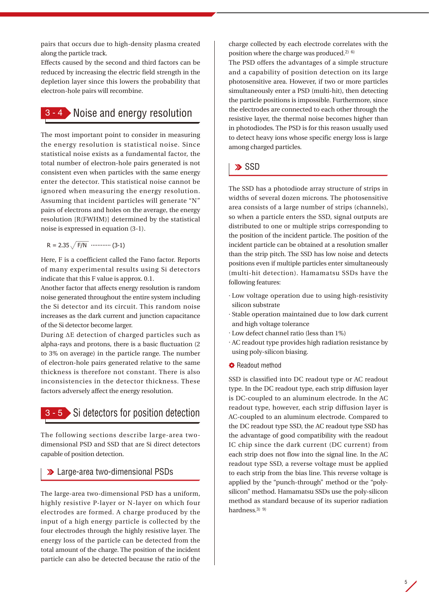pairs that occurs due to high-density plasma created along the particle track.

Effects caused by the second and third factors can be reduced by increasing the electric field strength in the depletion layer since this lowers the probability that electron-hole pairs will recombine.

## $\blacktriangleright$  Noise and energy resolution

The most important point to consider in measuring the energy resolution is statistical noise. Since statistical noise exists as a fundamental factor, the total number of electron-hole pairs generated is not consistent even when particles with the same energy enter the detector. This statistical noise cannot be ignored when measuring the energy resolution. Assuming that incident particles will generate "N" pairs of electrons and holes on the average, the energy resolution [R(FWHM)] determined by the statistical noise is expressed in equation (3-1).

$$
R = 2.35 \sqrt{F/N} \ \cdots \cdots \cdots \ (3-1)
$$

Here, F is a coefficient called the Fano factor. Reports of many experimental results using Si detectors indicate that this F value is approx. 0.1.

Another factor that affects energy resolution is random noise generated throughout the entire system including the Si detector and its circuit. This random noise increases as the dark current and junction capacitance of the Si detector become larger.

During ΔE detection of charged particles such as alpha-rays and protons, there is a basic fluctuation (2 to 3% on average) in the particle range. The number of electron-hole pairs generated relative to the same thickness is therefore not constant. There is also inconsistencies in the detector thickness. These factors adversely affect the energy resolution.



The following sections describe large-area twodimensional PSD and SSD that are Si direct detectors capable of position detection.

### Large-area two-dimensional PSDs

The large-area two-dimensional PSD has a uniform, highly resistive P-layer or N-layer on which four electrodes are formed. A charge produced by the input of a high energy particle is collected by the four electrodes through the highly resistive layer. The energy loss of the particle can be detected from the total amount of the charge. The position of the incident particle can also be detected because the ratio of the charge collected by each electrode correlates with the position where the charge was produced.2) 6)

The PSD offers the advantages of a simple structure and a capability of position detection on its large photosensitive area. However, if two or more particles simultaneously enter a PSD (multi-hit), then detecting the particle positions is impossible. Furthermore, since the electrodes are connected to each other through the resistive layer, the thermal noise becomes higher than in photodiodes. The PSD is for this reason usually used to detect heavy ions whose specific energy loss is large among charged particles.

### **>**SSD

The SSD has a photodiode array structure of strips in widths of several dozen microns. The photosensitive area consists of a large number of strips (channels), so when a particle enters the SSD, signal outputs are distributed to one or multiple strips corresponding to the position of the incident particle. The position of the incident particle can be obtained at a resolution smaller than the strip pitch. The SSD has low noise and detects positions even if multiple particles enter simultaneously (multi-hit detection). Hamamatsu SSDs have the following features:

- · Low voltage operation due to using high-resistivity silicon substrate
- · Stable operation maintained due to low dark current and high voltage tolerance
- · Low defect channel ratio (less than 1%)
- · AC readout type provides high radiation resistance by using poly-silicon biasing.
- **C** Readout method

SSD is classified into DC readout type or AC readout type. In the DC readout type, each strip diffusion layer is DC-coupled to an aluminum electrode. In the AC readout type, however, each strip diffusion layer is AC-coupled to an aluminum electrode. Compared to the DC readout type SSD, the AC readout type SSD has the advantage of good compatibility with the readout IC chip since the dark current (DC current) from each strip does not flow into the signal line. In the AC readout type SSD, a reverse voltage must be applied to each strip from the bias line. This reverse voltage is applied by the "punch-through" method or the "polysilicon" method. Hamamatsu SSDs use the poly-silicon method as standard because of its superior radiation hardness.<sup>3)</sup> 9)

5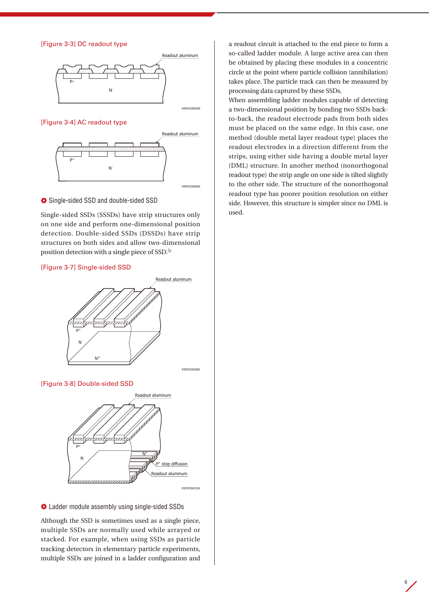[Figure 3-3] DC readout type



#### [Figure 3-4] AC readout type



Single-sided SSD and double-sided SSD

Single-sided SSDs (SSSDs) have strip structures only on one side and perform one-dimensional position detection. Double-sided SSDs (DSSDs) have strip structures on both sides and allow two-dimensional position detection with a single piece of SSD.5)

#### [Figure 3-7] Single-sided SSD



[Figure 3-8] Double-sided SSD



#### Ladder module assembly using single-sided SSDs

Although the SSD is sometimes used as a single piece, multiple SSDs are normally used while arrayed or stacked. For example, when using SSDs as particle tracking detectors in elementary particle experiments, multiple SSDs are joined in a ladder configuration and a readout circuit is attached to the end piece to form a so-called ladder module. A large active area can then be obtained by placing these modules in a concentric circle at the point where particle collision (annihilation) takes place. The particle track can then be measured by processing data captured by these SSDs.

to the other side. The structure of the nonorthogonal When assembling ladder modules capable of detecting a two-dimensional position by bonding two SSDs backto-back, the readout electrode pads from both sides must be placed on the same edge. In this case, one method (double metal layer readout type) places the readout electrodes in a direction different from the strips, using either side having a double metal layer (DML) structure. In another method (nonorthogonal readout type) the strip angle on one side is tilted slightly readout type has poorer position resolution on either side. However, this structure is simpler since no DML is used.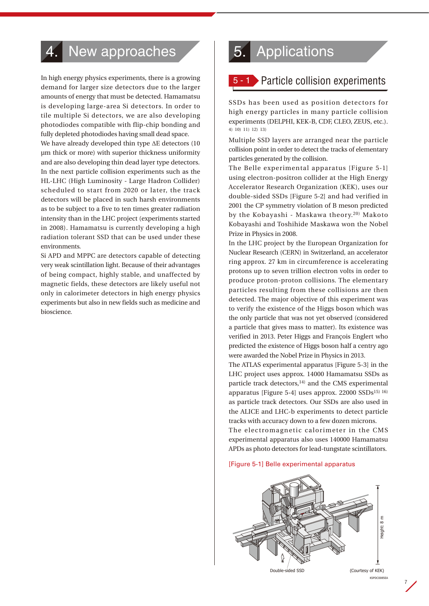## <span id="page-6-0"></span>New approaches

In high energy physics experiments, there is a growing demand for larger size detectors due to the larger amounts of energy that must be detected. Hamamatsu is developing large-area Si detectors. In order to tile multiple Si detectors, we are also developing photodiodes compatible with flip-chip bonding and fully depleted photodiodes having small dead space.

We have already developed thin type ΔE detectors (10 μm thick or more) with superior thickness uniformity and are also developing thin dead layer type detectors. In the next particle collision experiments such as the HL-LHC (High Luminosity - Large Hadron Collider) scheduled to start from 2020 or later, the track detectors will be placed in such harsh environments as to be subject to a five to ten times greater radiation intensity than in the LHC project (experiments started in 2008). Hamamatsu is currently developing a high radiation tolerant SSD that can be used under these environments.

Si APD and MPPC are detectors capable of detecting very weak scintillation light. Because of their advantages of being compact, highly stable, and unaffected by magnetic fields, these detectors are likely useful not only in calorimeter detectors in high energy physics experiments but also in new fields such as medicine and bioscience.

Belle experimental apparatus

## **Applications**

## $\blacktriangleright$  Particle collision experiments

SSDs has been used as position detectors for high energy particles in many particle collision experiments (DELPHI, KEK-B, CDF, CLEO, ZEUS, etc.). 4) 10) 11) 12) 13)

Multiple SSD layers are arranged near the particle collision point in order to detect the tracks of elementary particles generated by the collision.

The Belle experimental apparatus [Figure 5-1] using electron-positron collider at the High Energy Accelerator Research Organization (KEK), uses our double-sided SSDs [Figure 5-2] and had verified in 2001 the CP symmetry violation of B meson predicted by the Kobayashi - Maskawa theory.20) Makoto Kobayashi and Toshihide Maskawa won the Nobel Prize in Physics in 2008.

In the LHC project by the European Organization for Nuclear Research (CERN) in Switzerland, an accelerator ring approx. 27 km in circumference is accelerating protons up to seven trillion electron volts in order to produce proton-proton collisions. The elementary particles resulting from these collisions are then detected. The major objective of this experiment was to verify the existence of the Higgs boson which was the only particle that was not yet observed (considered a particle that gives mass to matter). Its existence was verified in 2013. Peter Higgs and François Englert who predicted the existence of Higgs boson half a centry ago were awarded the Nobel Prize in Physics in 2013.

The ATLAS experimental apparatus [Figure 5-3] in the LHC project uses approx. 14000 Hamamatsu SSDs as particle track detectors,<sup>14)</sup> and the CMS experimental apparatus [Figure 5-4] uses approx. 22000 SSDs15) 16) as particle track detectors. Our SSDs are also used in the ALICE and LHC-b experiments to detect particle tracks with accuracy down to a few dozen microns.

The electromagnetic calorimeter in the CMS experimental apparatus also uses 140000 Hamamatsu APDs as photo detectors for lead-tungstate scintillators.

#### [Figure 5-1] Belle experimental apparatus



KSPDC0085E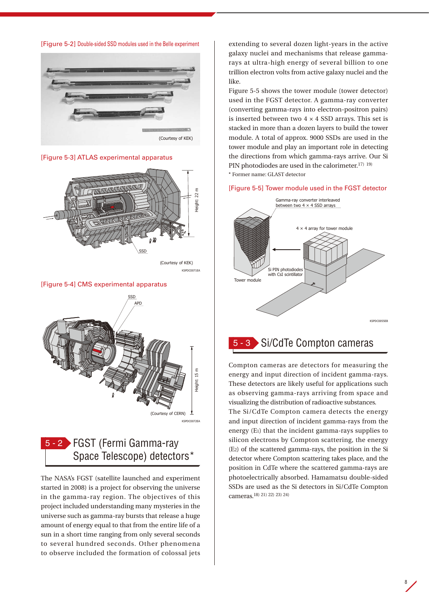



[Figure 5-3] ATLAS experimental apparatus



#### [Figure 5-4] CMS experimental apparatus



## FGST (Fermi Gamma-ray 5 - 2 Space Telescope) detectors\*

started in 2008) is a project for observing the universe The NASA's FGST (satellite launched and experiment in the gamma-ray region. The objectives of this project included understanding many mysteries in the universe such as gamma-ray bursts that release a huge amount of energy equal to that from the entire life of a sun in a short time ranging from only several seconds to several hundred seconds. Other phenomena to observe included the formation of colossal jets

extending to several dozen light-years in the active galaxy nuclei and mechanisms that release gammarays at ultra-high energy of several billion to one trillion electron volts from active galaxy nuclei and the like.

Figure 5-5 shows the tower module (tower detector) used in the FGST detector. A gamma-ray converter (converting gamma-rays into electron-positron pairs) is inserted between two  $4 \times 4$  SSD arrays. This set is stacked in more than a dozen layers to build the tower module. A total of approx. 9000 SSDs are used in the tower module and play an important role in detecting the directions from which gamma-rays arrive. Our Si  $\vert$  PIN photodiodes are used in the calorimeter.<sup>17)</sup> <sup>19)</sup> \* Former name: GLAST detector

#### [Figure 5-5] Tower module used in the FGST detector



5 - 3 Si/CdTe Compton cameras

Compton cameras are detectors for measuring the energy and input direction of incident gamma-rays. These detectors are likely useful for applications such as observing gamma-rays arriving from space and visualizing the distribution of radioactive substances. The Si/CdTe Compton camera detects the energy

and input direction of incident gamma-rays from the energy (E1) that the incident gamma-rays supplies to silicon electrons by Compton scattering, the energy (E2) of the scattered gamma-rays, the position in the Si detector where Compton scattering takes place, and the position in CdTe where the scattered gamma-rays are photoelectrically absorbed. Hamamatsu double-sided SSDs are used as the Si detectors in Si/CdTe Compton cameras.18) 21) 22) 23) 24)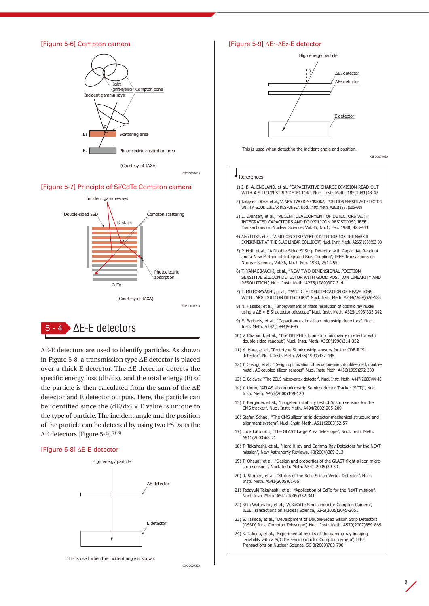#### [Figure 5-6] Compton camera



KSPDC0086EA

#### [Figure 5-7] Principle of Si/CdTe Compton camera





specific energy loss (dE/dx), and the total energy (E) of  $\qquad$ ΔE-E detectors are used to identify particles. As shown in Figure 5-8, a transmission type ΔE detector is placed over a thick E detector. The ΔE detector detects the the particle is then calculated from the sum of the ΔE detector and E detector outputs. Here, the particle can be identified since the  $(dE/dx) \times E$  value is unique to the type of particle. The incident angle and the position of the particle can be detected by using two PSDs as the ΔE detectors [Figure 5-9].7) 8)

#### [Figure 5-8] ∆E-E detector



This is used when the incident angle is known.

KSPDC0073EA

#### [Figure 5-9] ∆E1-∆E2-E detector



This is used when detecting the incident angle and position.

KSPDC0074EA

#### **References**

- 1) J. B. A. ENGLAND, et al., "CAPACITATIVE CHARGE DIVISION READ-OUT WITH A SILICON STRIP DETECTOR", Nucl. Instr. Meth. 185(1981)43-47
- 2) Tadayoshi DOKE, et al., "A NEW TWO DIMENSIONAL POSITION SENSITIVE DETECTOR WITH A GOOD LINEAR RESPONSE", Nucl. Instr. Meth. A261(1987)605-609
- 3) L. Evensen, et al., "RECENT DEVELOPMENT OF DETECTORS WITH INTEGRATED CAPACITORS AND POLYSILICON RESISTORS", IEEE Transactions on Nuclear Science, Vol.35, No.1, Feb. 1988, 428-431
- 4) Alan LITKE, et al., "A SILICON STRIP VERTEX DETECTOR FOR THE MARK II EXPERIMENT AT THE SLAC LINEAR COLLIDER", Nucl. Instr. Meth. A265(1988)93-98

 5) P. Holl, et al., "A Double-Sided Si Strip Detector with Capacitive Readout and a New Method of Integrated Bias Coupling", IEEE Transactions on Nuclear Science, Vol.36, No.1, Feb. 1989, 251-255

- 6) T. YANAGIMACHI, et al., "NEW TWO-DIMENSIONAL POSITION SENSITIVE SILICON DETECTOR WITH GOOD POSITION LINEARITY AND RESOLUTION", Nucl. Instr. Meth. A275(1989)307-314
- 7) T. MOTOBAYASHI, et al., "PARTICLE IDENTIFICATION OF HEAVY IONS WITH LARGE SILICON DETECTORS", Nucl. Instr. Meth. A284(1989)526-528
- 8) N. Hasebe, et al., "Improvement of mass resolution of cosmic ray nuclei using a ΔE × E Si detector telescope" Nucl. Instr. Meth. A325(1993)335-342
- 9) E. Barberis, et al., "Capacitances in silicon microstrip detectors", Nucl. Instr. Meth. A342(1994)90-95
- 10) V. Chabaud, et al., "The DELPHI silicon strip microvertex detector with double sided readout", Nucl. Instr. Meth. A368(1996)314-332
- 11) K. Hara, et al., "Prototype Si microstrip sensors for the CDF-II ISL detector", Nucl. Instr. Meth. A435(1999)437-445
- 12) T. Ohsugi, et al., "Design optimization of radiation-hard, double-sided, doublemetal, AC-coupled silicon sensors", Nucl. Instr. Meth. A436(1999)272-280
- 13) C. Coldwey, "The ZEUS microvertex detector", Nucl. Instr. Meth. A447(2000)44-45
- 14) Y. Unno, "ATLAS silicon microstrip Semiconductor Tracker (SCT)", Nucl. Instr. Meth. A453(2000)109-120
- 15) T. Bergauer, et al., "Long-term stability test of Si strip sensors for the CMS tracker", Nucl. Instr. Meth. A494(2002)205-209
- 16) Stefan Schael, "The CMS silicon strip detector-mechanical structure and alignment system", Nucl. Instr. Meth. A511(2003)52-57
- 17) Luca Latronico, "The GLAST Large Area Telescope", Nucl. Instr. Meth. A511(2003)68-71
- 18) T. Takahashi, et al., "Hard X-ray and Gamma-Ray Detectors for the NEXT mission", New Astronomy Reviews, 48(2004)309-313
- 19) T. Ohsugi, et al., "Design and properties of the GLAST flight silicon microstrip sensors", Nucl. Instr. Meth. A541(2005)29-39
- 20) R. Stamen, et al., "Status of the Belle Silicon Vertex Detector", Nucl. Instr. Meth. A541(2005)61-66
- 21) Tadayuki Takahashi, et al., "Application of CdTe for the NeXT mission", Nucl. Instr. Meth. A541(2005)332-341
- 22) Shin Watanabe, et al., "A Si/CdTe Semiconductor Compton Camera", IEEE Transactions on Nuclear Science, 52-5(2005)2045-2051
- 23) S. Takeda, et al., "Development of Double-Sided Silicon Strip Detectors (DSSD) for a Compton Telescope", Nucl. Instr. Meth. A579(2007)859-865

9

24) S. Takeda, et al., "Experimental results of the gamma-ray imaging capability with a Si/CdTe semiconductor Compton camera", IEEE Transactions on Nuclear Science, 56-3(2009)783-790